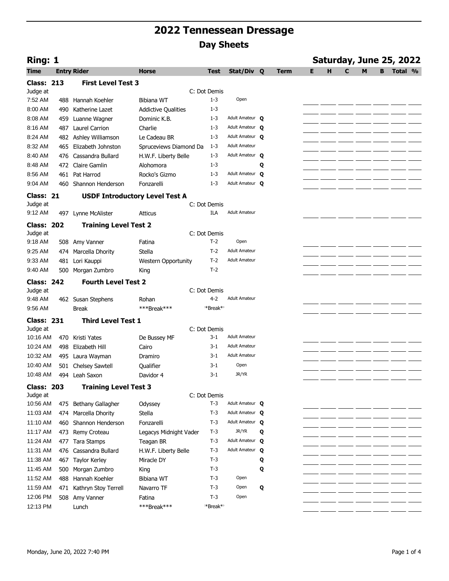| Ring: 1              |     |                                       |                            |                         |                        |   |      | Saturday, June 25, 2022 |   |   |   |   |         |  |
|----------------------|-----|---------------------------------------|----------------------------|-------------------------|------------------------|---|------|-------------------------|---|---|---|---|---------|--|
| Time                 |     | <b>Entry Rider</b>                    | <b>Horse</b>               | <b>Test</b>             | Stat/Div Q             |   | Term | Е                       | н | C | M | в | Total % |  |
| <b>Class: 213</b>    |     | <b>First Level Test 3</b>             |                            |                         |                        |   |      |                         |   |   |   |   |         |  |
| Judge at             |     |                                       |                            | C: Dot Demis            |                        |   |      |                         |   |   |   |   |         |  |
| 7:52 AM              |     | 488 Hannah Koehler                    | Bibiana WT                 | $1 - 3$                 | Open                   |   |      |                         |   |   |   |   |         |  |
| 8:00 AM              |     | 490 Katherine Lazet                   | <b>Addictive Qualities</b> | $1 - 3$                 |                        |   |      |                         |   |   |   |   |         |  |
| 8:08 AM              | 459 | Luanne Wagner                         | Dominic K.B.               | $1 - 3$                 | Adult Amateur O        |   |      |                         |   |   |   |   |         |  |
| 8:16 AM              | 487 | <b>Laurel Carrion</b>                 | Charlie                    | $1 - 3$                 | Adult Amateur O        |   |      |                         |   |   |   |   |         |  |
| 8:24 AM              |     | 482 Ashley Williamson                 | Le Cadeau BR               | $1 - 3$                 | Adult Amateur Q        |   |      |                         |   |   |   |   |         |  |
| 8:32 AM              |     | 465 Elizabeth Johnston                | Spruceviews Diamond Da     | $1 - 3$                 | <b>Adult Amateur</b>   |   |      |                         |   |   |   |   |         |  |
| 8:40 AM              |     | 476 Cassandra Bullard                 | H.W.F. Liberty Belle       | $1 - 3$                 | Adult Amateur O        |   |      |                         |   |   |   |   |         |  |
| 8:48 AM              |     | 472 Claire Gamlin                     | Alohomora                  | $1 - 3$                 |                        | Q |      |                         |   |   |   |   |         |  |
| 8:56 AM              |     | 461 Pat Harrod                        | Rocko's Gizmo              | $1 - 3$                 | Adult Amateur <b>Q</b> |   |      |                         |   |   |   |   |         |  |
| 9:04 AM              |     | 460 Shannon Henderson                 | Fonzarelli                 | $1 - 3$                 | Adult Amateur O        |   |      |                         |   |   |   |   |         |  |
| Class: 21            |     | <b>USDF Introductory Level Test A</b> |                            |                         |                        |   |      |                         |   |   |   |   |         |  |
| Judge at             |     |                                       |                            | C: Dot Demis            |                        |   |      |                         |   |   |   |   |         |  |
| 9:12 AM              |     | 497 Lynne McAlister                   | Atticus                    | ILA                     | <b>Adult Amateur</b>   |   |      |                         |   |   |   |   |         |  |
| <b>Class: 202</b>    |     | <b>Training Level Test 2</b>          |                            |                         |                        |   |      |                         |   |   |   |   |         |  |
| Judge at             |     |                                       |                            | C: Dot Demis            |                        |   |      |                         |   |   |   |   |         |  |
| 9:18 AM              |     | 508 Amy Vanner                        | Fatina                     | $T-2$                   | Open                   |   |      |                         |   |   |   |   |         |  |
| 9:25 AM              |     | 474 Marcella Dhority                  | Stella                     | $T-2$                   | <b>Adult Amateur</b>   |   |      |                         |   |   |   |   |         |  |
| 9:33 AM              |     | 481 Lori Kauppi                       | <b>Western Opportunity</b> | $T-2$                   | <b>Adult Amateur</b>   |   |      |                         |   |   |   |   |         |  |
| 9:40 AM              |     | 500 Morgan Zumbro                     | King                       | $T-2$                   |                        |   |      |                         |   |   |   |   |         |  |
|                      |     |                                       |                            |                         |                        |   |      |                         |   |   |   |   |         |  |
| <b>Class: 242</b>    |     | <b>Fourth Level Test 2</b>            |                            |                         |                        |   |      |                         |   |   |   |   |         |  |
| Judge at<br>9:48 AM  |     |                                       | Rohan                      | C: Dot Demis<br>$4 - 2$ | <b>Adult Amateur</b>   |   |      |                         |   |   |   |   |         |  |
| 9:56 AM              |     | 462 Susan Stephens<br><b>Break</b>    | ***Break***                | **Break**               |                        |   |      |                         |   |   |   |   |         |  |
|                      |     |                                       |                            |                         |                        |   |      |                         |   |   |   |   |         |  |
| <b>Class: 231</b>    |     | <b>Third Level Test 1</b>             |                            |                         |                        |   |      |                         |   |   |   |   |         |  |
| Judge at<br>10:16 AM |     |                                       |                            | C: Dot Demis<br>3-1     | <b>Adult Amateur</b>   |   |      |                         |   |   |   |   |         |  |
| 10:24 AM             |     | 470 Kristi Yates                      | De Bussey MF               | $3 - 1$                 | <b>Adult Amateur</b>   |   |      |                         |   |   |   |   |         |  |
| 10:32 AM             | 498 | Elizabeth Hill                        | Cairo                      |                         | <b>Adult Amateur</b>   |   |      |                         |   |   |   |   |         |  |
|                      |     | 495 Laura Wayman                      | Dramiro                    | 3-1                     |                        |   |      |                         |   |   |   |   |         |  |
| 10:40 AM             |     | 501 Chelsey Sawtell                   | Qualifier                  | 3-1                     | Open<br>JR/YR          |   |      |                         |   |   |   |   |         |  |
| 10:48 AM             |     | 494 Leah Saxon                        | Davidor 4                  | $3 - 1$                 |                        |   |      |                         |   |   |   |   |         |  |
| <b>Class: 203</b>    |     | <b>Training Level Test 3</b>          |                            |                         |                        |   |      |                         |   |   |   |   |         |  |
| Judge at             |     |                                       |                            | C: Dot Demis            |                        |   |      |                         |   |   |   |   |         |  |
| 10:56 AM             |     | 475 Bethany Gallagher                 | Odyssey                    | T-3                     | Adult Amateur O        |   |      |                         |   |   |   |   |         |  |
| 11:03 AM             |     | 474 Marcella Dhority                  | Stella                     | T-3                     | Adult Amateur Q        |   |      |                         |   |   |   |   |         |  |
| 11:10 AM             |     | 460 Shannon Henderson                 | Fonzarelli                 | $T-3$                   | Adult Amateur O        |   |      |                         |   |   |   |   |         |  |
| 11:17 AM             |     | 473 Remy Croteau                      | Legacys Midnight Vader     | T-3                     | JR/YR                  | Q |      |                         |   |   |   |   |         |  |
| 11:24 AM             |     | 477 Tara Stamps                       | Teagan BR                  | $T-3$                   | Adult Amateur <b>Q</b> |   |      |                         |   |   |   |   |         |  |
| 11:31 AM             |     | 476 Cassandra Bullard                 | H.W.F. Liberty Belle       | $T-3$                   | Adult Amateur Q        |   |      |                         |   |   |   |   |         |  |
| 11:38 AM             |     | 467 Taylor Kerley                     | Miracle DY                 | $T-3$                   |                        | Q |      |                         |   |   |   |   |         |  |
| 11:45 AM             |     | 500 Morgan Zumbro                     | King                       | T-3                     |                        | Q |      |                         |   |   |   |   |         |  |
| 11:52 AM             |     | 488 Hannah Koehler                    | Bibiana WT                 | $T-3$                   | Open                   |   |      |                         |   |   |   |   |         |  |
| 11:59 AM             |     | 471 Kathryn Stoy Terrell              | Navarro TF                 | T-3                     | Open                   | Q |      |                         |   |   |   |   |         |  |
| 12:06 PM             |     | 508 Amy Vanner                        | Fatina                     | $T-3$                   | Open                   |   |      |                         |   |   |   |   |         |  |
| 12:13 PM             |     | Lunch                                 | ***Break***                | *Break* <sup>*</sup>    |                        |   |      |                         |   |   |   |   |         |  |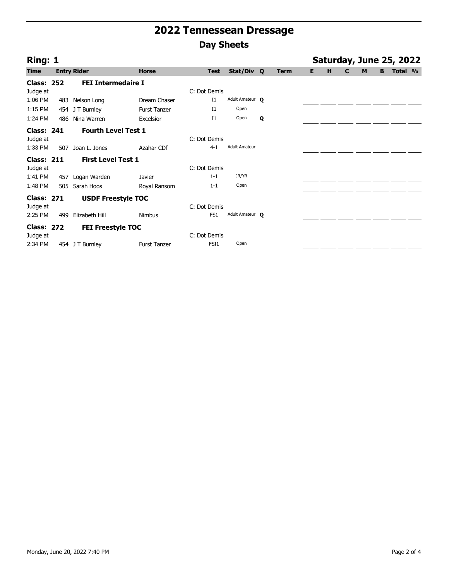| Ring: 1           |     |                            |                     |              |                      |   |             |    |   |   |   |   | Saturday, June 25, 2022 |  |
|-------------------|-----|----------------------------|---------------------|--------------|----------------------|---|-------------|----|---|---|---|---|-------------------------|--|
| <b>Time</b>       |     | <b>Entry Rider</b>         | <b>Horse</b>        | <b>Test</b>  | Stat/Div Q           |   | <b>Term</b> | E. | H | C | M | B | Total %                 |  |
| <b>Class: 252</b> |     | <b>FEI Intermedaire I</b>  |                     |              |                      |   |             |    |   |   |   |   |                         |  |
| Judge at          |     |                            |                     | C: Dot Demis |                      |   |             |    |   |   |   |   |                         |  |
| 1:06 PM           | 483 | Nelson Long                | Dream Chaser        | $_{11}$      | Adult Amateur O      |   |             |    |   |   |   |   |                         |  |
| 1:15 PM           | 454 | J T Burnley                | <b>Furst Tanzer</b> | $_{\rm I1}$  | Open                 |   |             |    |   |   |   |   |                         |  |
| 1:24 PM           | 486 | Nina Warren                | Excelsior           | $_{\rm I1}$  | Open                 | Q |             |    |   |   |   |   |                         |  |
| <b>Class: 241</b> |     | <b>Fourth Level Test 1</b> |                     |              |                      |   |             |    |   |   |   |   |                         |  |
| Judge at          |     |                            |                     | C: Dot Demis |                      |   |             |    |   |   |   |   |                         |  |
| 1:33 PM           | 507 | Joan L. Jones              | Azahar CDf          | $4 - 1$      | <b>Adult Amateur</b> |   |             |    |   |   |   |   |                         |  |
| <b>Class: 211</b> |     | <b>First Level Test 1</b>  |                     |              |                      |   |             |    |   |   |   |   |                         |  |
| Judge at          |     |                            |                     | C: Dot Demis |                      |   |             |    |   |   |   |   |                         |  |
| 1:41 PM           | 457 | Logan Warden               | Javier              | $1 - 1$      | JR/YR                |   |             |    |   |   |   |   |                         |  |
| 1:48 PM           | 505 | Sarah Hoos                 | Royal Ransom        | $1 - 1$      | Open                 |   |             |    |   |   |   |   |                         |  |
| <b>Class: 271</b> |     | <b>USDF Freestyle TOC</b>  |                     |              |                      |   |             |    |   |   |   |   |                         |  |
| Judge at          |     |                            |                     | C: Dot Demis |                      |   |             |    |   |   |   |   |                         |  |
| 2:25 PM           | 499 | Elizabeth Hill             | <b>Nimbus</b>       | FS1          | Adult Amateur O      |   |             |    |   |   |   |   |                         |  |
| <b>Class: 272</b> |     | <b>FEI Freestyle TOC</b>   |                     |              |                      |   |             |    |   |   |   |   |                         |  |
| Judge at          |     |                            |                     | C: Dot Demis |                      |   |             |    |   |   |   |   |                         |  |
| 2:34 PM           |     | 454 J T Burnley            | <b>Furst Tanzer</b> | FSI1         | Open                 |   |             |    |   |   |   |   |                         |  |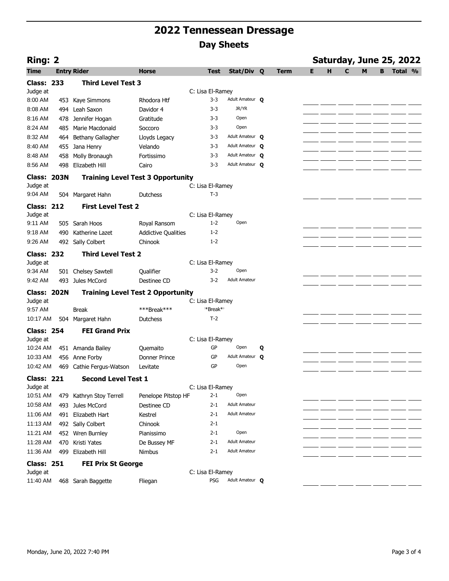| <b>Ring: 2</b>                |     |                            |                                          |                         |                        |   |             |   |   |   |   |   | Saturday, June 25, 2022 |  |
|-------------------------------|-----|----------------------------|------------------------------------------|-------------------------|------------------------|---|-------------|---|---|---|---|---|-------------------------|--|
| <b>Time</b>                   |     | <b>Entry Rider</b>         | <b>Horse</b>                             | Test                    | Stat/Div Q             |   | <b>Term</b> | Е | н | C | м | в | Total %                 |  |
| <b>Class: 233</b>             |     | <b>Third Level Test 3</b>  |                                          |                         |                        |   |             |   |   |   |   |   |                         |  |
| Judge at                      |     |                            |                                          | C: Lisa El-Ramey        |                        |   |             |   |   |   |   |   |                         |  |
| 8:00 AM                       |     | 453 Kaye Simmons           | Rhodora Htf                              | $3 - 3$                 | Adult Amateur <b>Q</b> |   |             |   |   |   |   |   |                         |  |
| 8:08 AM                       |     | 494 Leah Saxon             | Davidor 4                                | $3 - 3$                 | JR/YR                  |   |             |   |   |   |   |   |                         |  |
| 8:16 AM                       |     | 478 Jennifer Hogan         | Gratitude                                | 3-3                     | Open                   |   |             |   |   |   |   |   |                         |  |
| 8:24 AM                       | 485 | Marie Macdonald            | Soccoro                                  | 3-3                     | Open                   |   |             |   |   |   |   |   |                         |  |
| 8:32 AM                       | 464 | Bethany Gallagher          | Lloyds Legacy                            | $3 - 3$                 | Adult Amateur Q        |   |             |   |   |   |   |   |                         |  |
| 8:40 AM                       |     | 455 Jana Henry             | Velando                                  | $3 - 3$                 | Adult Amateur Q        |   |             |   |   |   |   |   |                         |  |
| 8:48 AM                       | 458 | Molly Bronaugh             | Fortissimo                               | $3 - 3$                 | Adult Amateur Q        |   |             |   |   |   |   |   |                         |  |
| 8:56 AM                       | 498 | Elizabeth Hill             | Cairo                                    | $3 - 3$                 | Adult Amateur Q        |   |             |   |   |   |   |   |                         |  |
| Class: 203N                   |     |                            | <b>Training Level Test 3 Opportunity</b> |                         |                        |   |             |   |   |   |   |   |                         |  |
| Judge at                      |     |                            |                                          | C: Lisa El-Ramey        |                        |   |             |   |   |   |   |   |                         |  |
| 9:04 AM                       |     | 504 Margaret Hahn          | <b>Dutchess</b>                          | $T-3$                   |                        |   |             |   |   |   |   |   |                         |  |
| <b>Class: 212</b>             |     | <b>First Level Test 2</b>  |                                          |                         |                        |   |             |   |   |   |   |   |                         |  |
| Judge at                      |     |                            |                                          | C: Lisa El-Ramey        |                        |   |             |   |   |   |   |   |                         |  |
| 9:11 AM                       |     | 505 Sarah Hoos             | Royal Ransom                             | $1 - 2$                 | Open                   |   |             |   |   |   |   |   |                         |  |
| 9:18 AM                       | 490 | Katherine Lazet            | <b>Addictive Qualities</b>               | $1 - 2$                 |                        |   |             |   |   |   |   |   |                         |  |
| 9:26 AM                       |     | 492 Sally Colbert          | Chinook                                  | $1 - 2$                 |                        |   |             |   |   |   |   |   |                         |  |
| <b>Class: 232</b>             |     | <b>Third Level Test 2</b>  |                                          |                         |                        |   |             |   |   |   |   |   |                         |  |
| Judge at                      |     |                            |                                          | C: Lisa El-Ramey        |                        |   |             |   |   |   |   |   |                         |  |
| 9:34 AM                       |     | 501 Chelsey Sawtell        | Qualifier                                | $3 - 2$                 | Open                   |   |             |   |   |   |   |   |                         |  |
| 9:42 AM                       |     | 493 Jules McCord           | Destinee CD                              | $3 - 2$                 | <b>Adult Amateur</b>   |   |             |   |   |   |   |   |                         |  |
| Class: 202N                   |     |                            | <b>Training Level Test 2 Opportunity</b> |                         |                        |   |             |   |   |   |   |   |                         |  |
| Judge at                      |     |                            |                                          | C: Lisa El-Ramey        |                        |   |             |   |   |   |   |   |                         |  |
| 9:57 AM                       |     | <b>Break</b>               | ***Break***                              | **Break**               |                        |   |             |   |   |   |   |   |                         |  |
| 10:17 AM                      |     | 504 Margaret Hahn          | <b>Dutchess</b>                          | $T-2$                   |                        |   |             |   |   |   |   |   |                         |  |
|                               |     |                            |                                          |                         |                        |   |             |   |   |   |   |   |                         |  |
| <b>Class: 254</b><br>Judge at |     | <b>FEI Grand Prix</b>      |                                          | C: Lisa El-Ramey        |                        |   |             |   |   |   |   |   |                         |  |
| 10:24 AM                      |     | 451 Amanda Bailey          | Quemaito                                 | GP                      | Open                   | Q |             |   |   |   |   |   |                         |  |
| 10:33 AM                      |     | 456 Anne Forby             | <b>Donner Prince</b>                     | GP                      | Adult Amateur Q        |   |             |   |   |   |   |   |                         |  |
| 10:42 AM                      |     | 469 Cathie Fergus-Watson   | Levitate                                 | GP                      | Open                   |   |             |   |   |   |   |   |                         |  |
|                               |     |                            |                                          |                         |                        |   |             |   |   |   |   |   |                         |  |
| <b>Class: 221</b><br>Judge at |     | <b>Second Level Test 1</b> |                                          | C: Lisa El-Ramey        |                        |   |             |   |   |   |   |   |                         |  |
| 10:51 AM                      |     | 479 Kathryn Stoy Terrell   | Penelope Pitstop HF                      | 2-1                     | Open                   |   |             |   |   |   |   |   |                         |  |
| 10:58 AM                      |     | 493 Jules McCord           | Destinee CD                              | $2 - 1$                 | <b>Adult Amateur</b>   |   |             |   |   |   |   |   |                         |  |
| 11:06 AM                      |     | 491 Elizabeth Hart         | Kestrel                                  | 2-1                     | <b>Adult Amateur</b>   |   |             |   |   |   |   |   |                         |  |
| 11:13 AM                      |     | 492 Sally Colbert          | Chinook                                  | $2 - 1$                 |                        |   |             |   |   |   |   |   |                         |  |
| 11:21 AM                      |     | 452 Wren Burnley           | Pianissimo                               | 2-1                     | Open                   |   |             |   |   |   |   |   |                         |  |
| 11:28 AM                      |     | 470 Kristi Yates           | De Bussey MF                             | $2 - 1$                 | <b>Adult Amateur</b>   |   |             |   |   |   |   |   |                         |  |
| 11:36 AM                      |     | 499 Elizabeth Hill         | Nimbus                                   | 2-1                     | <b>Adult Amateur</b>   |   |             |   |   |   |   |   |                         |  |
|                               |     |                            |                                          |                         |                        |   |             |   |   |   |   |   |                         |  |
| <b>Class: 251</b>             |     | <b>FEI Prix St George</b>  |                                          |                         |                        |   |             |   |   |   |   |   |                         |  |
| Judge at<br>11:40 AM          |     | 468 Sarah Baggette         | Fliegan                                  | C: Lisa El-Ramey<br>PSG | Adult Amateur Q        |   |             |   |   |   |   |   |                         |  |
|                               |     |                            |                                          |                         |                        |   |             |   |   |   |   |   |                         |  |